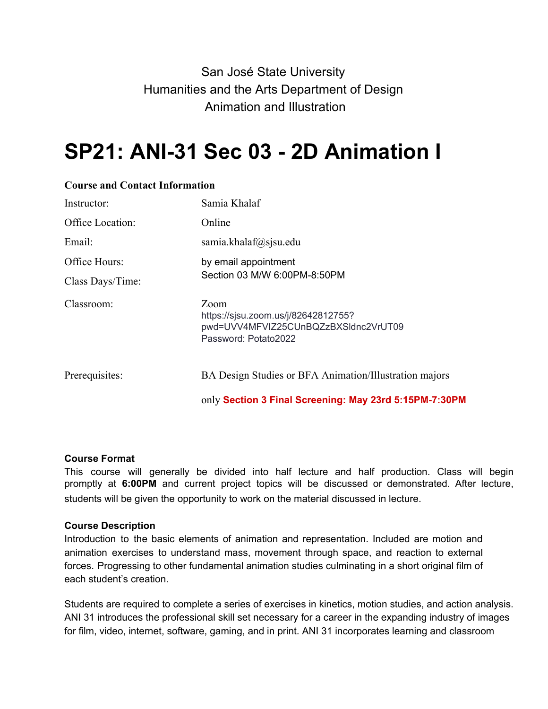# San José State University Humanities and the Arts Department of Design Animation and Illustration

# **SP21: ANI-31 Sec 03 - 2D Animation I**

| Instructor:      | Samia Khalaf                                                                                                |
|------------------|-------------------------------------------------------------------------------------------------------------|
| Office Location: | Online                                                                                                      |
| Email:           | samia.khalaf $(a)$ sjsu.edu                                                                                 |
| Office Hours:    | by email appointment<br>Section 03 M/W 6:00PM-8:50PM                                                        |
| Class Days/Time: |                                                                                                             |
| Classroom:       | Zoom<br>https://sjsu.zoom.us/j/82642812755?<br>pwd=UVV4MFVIZ25CUnBQZzBXSIdnc2VrUT09<br>Password: Potato2022 |
| Prerequisites:   | BA Design Studies or BFA Animation/Illustration majors                                                      |
|                  | only Section 3 Final Screening: May 23rd 5:15PM-7:30PM                                                      |

#### **Course and Contact Information**

#### **Course Format**

This course will generally be divided into half lecture and half production. Class will begin promptly at **6:00PM** and current project topics will be discussed or demonstrated. After lecture, students will be given the opportunity to work on the material discussed in lecture.

#### **Course Description**

Introduction to the basic elements of animation and representation. Included are motion and animation exercises to understand mass, movement through space, and reaction to external forces. Progressing to other fundamental animation studies culminating in a short original film of each student's creation.

Students are required to complete a series of exercises in kinetics, motion studies, and action analysis. ANI 31 introduces the professional skill set necessary for a career in the expanding industry of images for film, video, internet, software, gaming, and in print. ANI 31 incorporates learning and classroom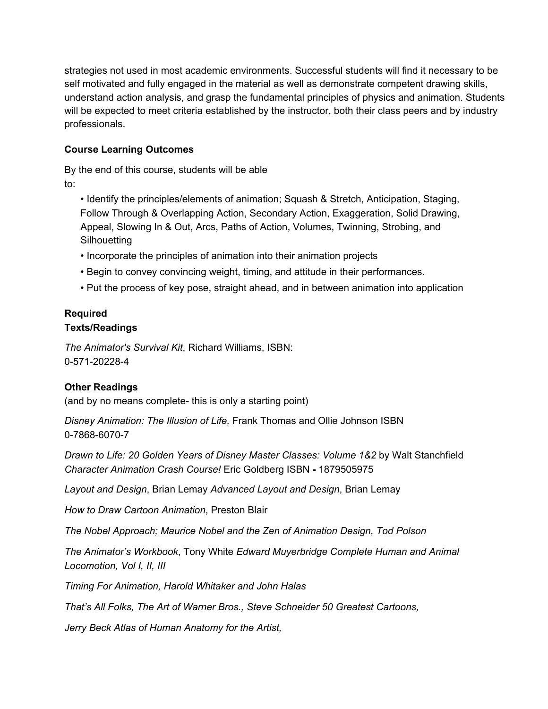strategies not used in most academic environments. Successful students will find it necessary to be self motivated and fully engaged in the material as well as demonstrate competent drawing skills, understand action analysis, and grasp the fundamental principles of physics and animation. Students will be expected to meet criteria established by the instructor, both their class peers and by industry professionals.

#### **Course Learning Outcomes**

By the end of this course, students will be able to:

• Identify the principles/elements of animation; Squash & Stretch, Anticipation, Staging, Follow Through & Overlapping Action, Secondary Action, Exaggeration, Solid Drawing, Appeal, Slowing In & Out, Arcs, Paths of Action, Volumes, Twinning, Strobing, and **Silhouetting** 

- Incorporate the principles of animation into their animation projects
- Begin to convey convincing weight, timing, and attitude in their performances.
- Put the process of key pose, straight ahead, and in between animation into application

#### **Required Texts/Readings**

*The Animator's Survival Kit*, Richard Williams, ISBN: 0-571-20228-4

#### **Other Readings**

(and by no means complete- this is only a starting point)

*Disney Animation: The Illusion of Life,* Frank Thomas and Ollie Johnson ISBN 0-7868-6070-7

*Drawn to Life: 20 Golden Years of Disney Master Classes: Volume 1&2* by Walt Stanchfield *Character Animation Crash Course!* Eric Goldberg ISBN **-** 1879505975

*Layout and Design*, Brian Lemay *Advanced Layout and Design*, Brian Lemay

*How to Draw Cartoon Animation*, Preston Blair

*The Nobel Approach; Maurice Nobel and the Zen of Animation Design, Tod Polson*

*The Animator's Workbook*, Tony White *Edward Muyerbridge Complete Human and Animal Locomotion, Vol I, II, III*

*Timing For Animation, Harold Whitaker and John Halas*

*That's All Folks, The Art of Warner Bros., Steve Schneider 50 Greatest Cartoons,*

*Jerry Beck Atlas of Human Anatomy for the Artist,*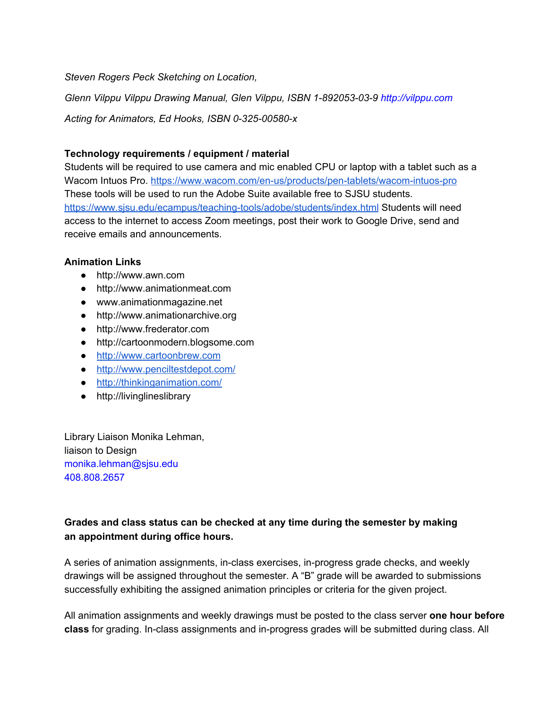*Steven Rogers Peck Sketching on Location,*

*Glenn Vilppu Vilppu Drawing Manual, Glen Vilppu, ISBN 1-892053-03-9 http://vilppu.com*

*Acting for Animators, Ed Hooks, ISBN 0-325-00580-x*

#### **Technology requirements / equipment / material**

Students will be required to use camera and mic enabled CPU or laptop with a tablet such as a Wacom Intuos Pro. <https://www.wacom.com/en-us/products/pen-tablets/wacom-intuos-pro> These tools will be used to run the Adobe Suite available free to SJSU students. <https://www.sjsu.edu/ecampus/teaching-tools/adobe/students/index.html> Students will need access to the internet to access Zoom meetings, post their work to Google Drive, send and receive emails and announcements.

#### **Animation Links**

- http://www.awn.com
- http://www.animationmeat.com
- www.animationmagazine.net
- http://www.animationarchive.org
- http://www.frederator.com
- http://cartoonmodern.blogsome.com
- [http://www.cartoonbrew.com](http://www.cartoonbrew.com/)
- <http://www.penciltestdepot.com/>
- <http://thinkinganimation.com/>
- http://livinglineslibrary

Library Liaison Monika Lehman, liaison to Design monika.lehman@sjsu.edu 408.808.2657

#### **Grades and class status can be checked at any time during the semester by making an appointment during office hours.**

A series of animation assignments, in-class exercises, in-progress grade checks, and weekly drawings will be assigned throughout the semester. A "B" grade will be awarded to submissions successfully exhibiting the assigned animation principles or criteria for the given project.

All animation assignments and weekly drawings must be posted to the class server **one hour before class** for grading. In-class assignments and in-progress grades will be submitted during class. All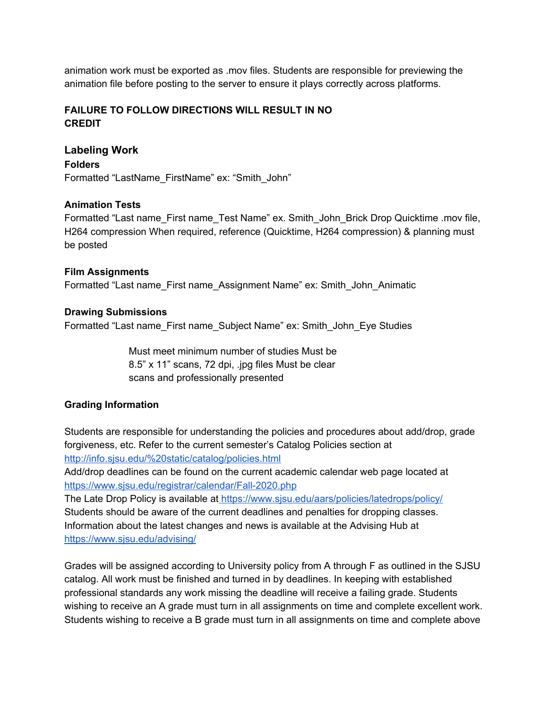animation work must be exported as .mov files. Students are responsible for previewing the animation file before posting to the server to ensure it plays correctly across platforms.

#### **FAILURE TO FOLLOW DIRECTIONS WILL RESULT IN NO CREDIT**

# **Labeling Work Folders** Formatted "LastName\_FirstName" ex: "Smith\_John"

#### **Animation Tests**

Formatted "Last name\_First name\_Test Name" ex. Smith\_John\_Brick Drop Quicktime .mov file, H264 compression When required, reference (Quicktime, H264 compression) & planning must be posted

**Film Assignments** Formatted "Last name\_First name\_Assignment Name" ex: Smith\_John\_Animatic

#### **Drawing Submissions**

Formatted "Last name\_First name\_Subject Name" ex: Smith\_John\_Eye Studies

Must meet minimum number of studies Must be 8.5" x 11" scans, 72 dpi, .jpg files Must be clear scans and professionally presented

#### **Grading Information**

Students are responsible for understanding the policies and procedures about add/drop, grade forgiveness, etc. Refer to the current semester's Catalog Policies section at <http://info.sjsu.edu/%20static/catalog/policies.html>

Add/drop deadlines can be found on the current academic calendar web page located at <https://www.sjsu.edu/registrar/calendar/Fall-2020.php>

The Late Drop Policy is available at <https://www.sjsu.edu/aars/policies/latedrops/policy/> Students should be aware of the current deadlines and penalties for dropping classes. Information about the latest changes and news is available at the Advising Hub at <https://www.sjsu.edu/advising/>

Grades will be assigned according to University policy from A through F as outlined in the SJSU catalog. All work must be finished and turned in by deadlines. In keeping with established professional standards any work missing the deadline will receive a failing grade. Students wishing to receive an A grade must turn in all assignments on time and complete excellent work. Students wishing to receive a B grade must turn in all assignments on time and complete above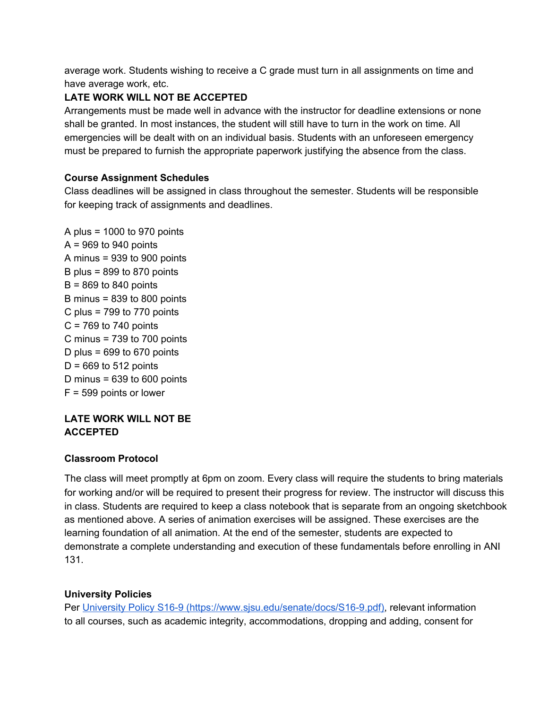average work. Students wishing to receive a C grade must turn in all assignments on time and have average work, etc.

### **LATE WORK WILL NOT BE ACCEPTED**

Arrangements must be made well in advance with the instructor for deadline extensions or none shall be granted. In most instances, the student will still have to turn in the work on time. All emergencies will be dealt with on an individual basis. Students with an unforeseen emergency must be prepared to furnish the appropriate paperwork justifying the absence from the class.

#### **Course Assignment Schedules**

Class deadlines will be assigned in class throughout the semester. Students will be responsible for keeping track of assignments and deadlines.

A plus = 1000 to 970 points  $A = 969$  to 940 points A minus = 939 to 900 points B plus =  $899$  to  $870$  points  $B = 869$  to 840 points B minus = 839 to 800 points C plus =  $799$  to  $770$  points  $C = 769$  to 740 points C minus = 739 to 700 points D plus =  $699$  to  $670$  points  $D = 669$  to 512 points D minus =  $639$  to  $600$  points F = 599 points or lower

#### **LATE WORK WILL NOT BE ACCEPTED**

#### **Classroom Protocol**

The class will meet promptly at 6pm on zoom. Every class will require the students to bring materials for working and/or will be required to present their progress for review. The instructor will discuss this in class. Students are required to keep a class notebook that is separate from an ongoing sketchbook as mentioned above. A series of animation exercises will be assigned. These exercises are the learning foundation of all animation. At the end of the semester, students are expected to demonstrate a complete understanding and execution of these fundamentals before enrolling in ANI 131.

#### **University Policies**

Per [University Policy S16-9 \(https://www.sjsu.edu/senate/docs/S16-9.pdf\),](https://www.sjsu.edu/senate/docs/S16-9.pdf)) relevant information to all courses, such as academic integrity, accommodations, dropping and adding, consent for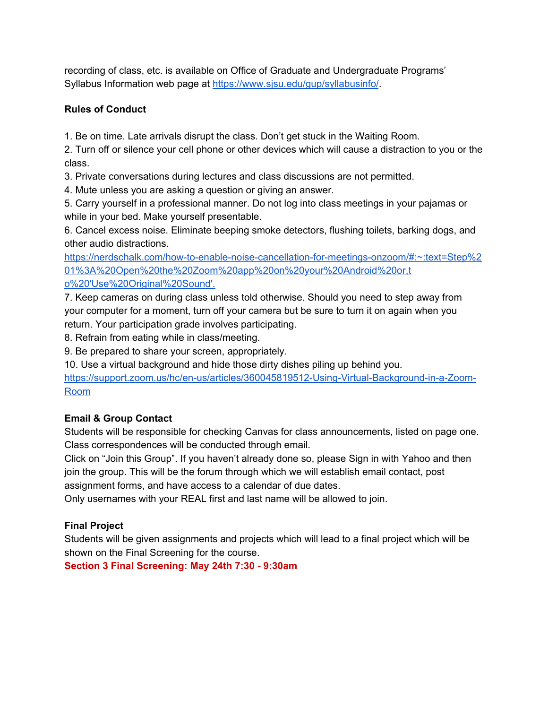recording of class, etc. is available on Office of Graduate and Undergraduate Programs' Syllabus Information web page at <https://www.sjsu.edu/gup/syllabusinfo/>.

# **Rules of Conduct**

1. Be on time. Late arrivals disrupt the class. Don't get stuck in the Waiting Room.

2. Turn off or silence your cell phone or other devices which will cause a distraction to you or the class.

3. Private conversations during lectures and class discussions are not permitted.

4. Mute unless you are asking a question or giving an answer.

5. Carry yourself in a professional manner. Do not log into class meetings in your pajamas or while in your bed. Make yourself presentable.

6. Cancel excess noise. Eliminate beeping smoke detectors, flushing toilets, barking dogs, and other audio distractions.

[https://nerdschalk.com/how-to-enable-noise-cancellation-for-meetings-onzoom/#:~:text=Step%2](https://nerdschalk.com/how-to-enable-noise-cancellation-for-meetings-onzoom/#:~:text=Step%201%3A%20Open%20the%20Zoom%20app%20on%20your%20Android%20or,t) [01%3A%20Open%20the%20Zoom%20app%20on%20your%20Android%20or,t](https://nerdschalk.com/how-to-enable-noise-cancellation-for-meetings-onzoom/#:~:text=Step%201%3A%20Open%20the%20Zoom%20app%20on%20your%20Android%20or,t) [o%20'Use%20Original%20Sound'.](https://nerdschalk.com/how-to-enable-noise-cancellation-for-meetings-onzoom/#:~:text=Step%201%3A%20Open%20the%20Zoom%20app%20on%20your%20Android%20or,t)

7. Keep cameras on during class unless told otherwise. Should you need to step away from your computer for a moment, turn off your camera but be sure to turn it on again when you return. Your participation grade involves participating.

8. Refrain from eating while in class/meeting.

9. Be prepared to share your screen, appropriately.

10. Use a virtual background and hide those dirty dishes piling up behind you.

[https://support.zoom.us/hc/en-us/articles/360045819512-Using-Virtual-Background-in-a-Zoom-](https://support.zoom.us/hc/en-us/articles/360045819512-Using-Virtual-Background-in-a-Zoom-Room)[Room](https://support.zoom.us/hc/en-us/articles/360045819512-Using-Virtual-Background-in-a-Zoom-Room)

# **Email & Group Contact**

Students will be responsible for checking Canvas for class announcements, listed on page one. Class correspondences will be conducted through email.

Click on "Join this Group". If you haven't already done so, please Sign in with Yahoo and then join the group. This will be the forum through which we will establish email contact, post assignment forms, and have access to a calendar of due dates.

Only usernames with your REAL first and last name will be allowed to join.

# **Final Project**

Students will be given assignments and projects which will lead to a final project which will be shown on the Final Screening for the course.

**Section 3 Final Screening: May 24th 7:30 - 9:30am**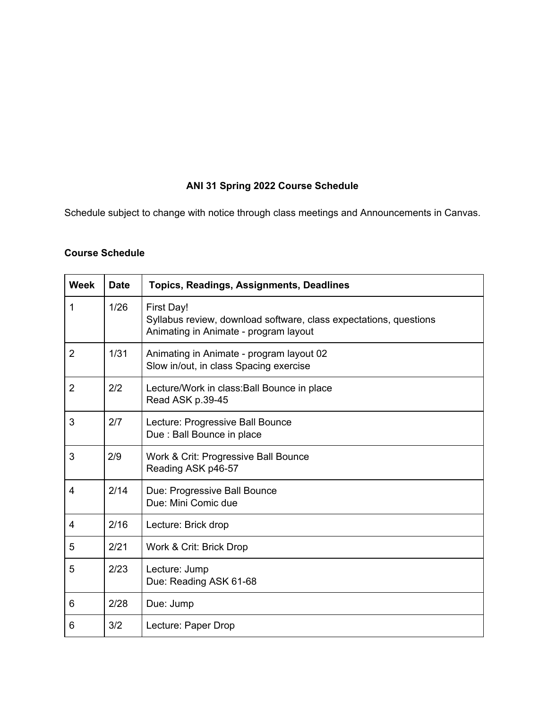# **ANI 31 Spring 2022 Course Schedule**

Schedule subject to change with notice through class meetings and Announcements in Canvas.

# **Course Schedule**

| <b>Week</b>    | <b>Date</b> | Topics, Readings, Assignments, Deadlines                                                                                 |
|----------------|-------------|--------------------------------------------------------------------------------------------------------------------------|
| 1              | 1/26        | First Day!<br>Syllabus review, download software, class expectations, questions<br>Animating in Animate - program layout |
| $\overline{2}$ | 1/31        | Animating in Animate - program layout 02<br>Slow in/out, in class Spacing exercise                                       |
| $\overline{2}$ | 2/2         | Lecture/Work in class: Ball Bounce in place<br>Read ASK p.39-45                                                          |
| 3              | 2/7         | Lecture: Progressive Ball Bounce<br>Due : Ball Bounce in place                                                           |
| 3              | 2/9         | Work & Crit: Progressive Ball Bounce<br>Reading ASK p46-57                                                               |
| $\overline{4}$ | 2/14        | Due: Progressive Ball Bounce<br>Due: Mini Comic due                                                                      |
| 4              | 2/16        | Lecture: Brick drop                                                                                                      |
| 5              | 2/21        | Work & Crit: Brick Drop                                                                                                  |
| 5              | 2/23        | Lecture: Jump<br>Due: Reading ASK 61-68                                                                                  |
| 6              | 2/28        | Due: Jump                                                                                                                |
| 6              | 3/2         | Lecture: Paper Drop                                                                                                      |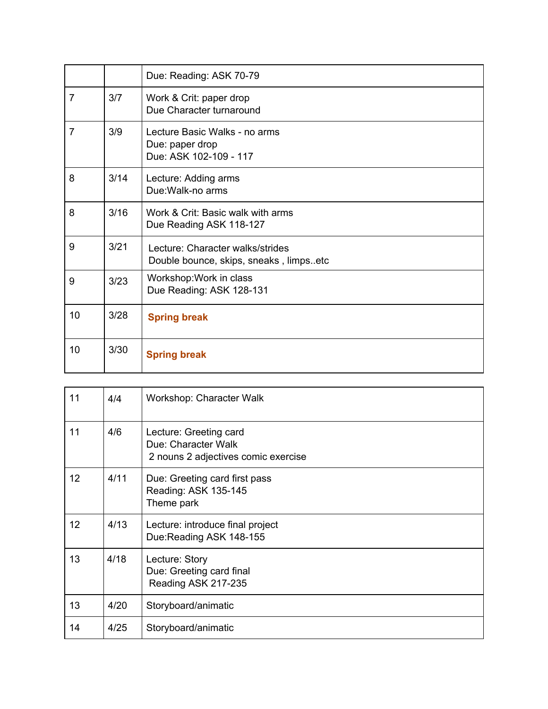|                |      | Due: Reading: ASK 70-79                                                    |
|----------------|------|----------------------------------------------------------------------------|
| 7              | 3/7  | Work & Crit: paper drop<br>Due Character turnaround                        |
| $\overline{7}$ | 3/9  | Lecture Basic Walks - no arms<br>Due: paper drop<br>Due: ASK 102-109 - 117 |
| 8              | 3/14 | Lecture: Adding arms<br>Due: Walk-no arms                                  |
| 8              | 3/16 | Work & Crit: Basic walk with arms<br>Due Reading ASK 118-127               |
| 9              | 3/21 | Lecture: Character walks/strides<br>Double bounce, skips, sneaks, limpsetc |
| 9              | 3/23 | Workshop: Work in class<br>Due Reading: ASK 128-131                        |
| 10             | 3/28 | <b>Spring break</b>                                                        |
| 10             | 3/30 | <b>Spring break</b>                                                        |

| 11 | 4/4  | Workshop: Character Walk                                                             |
|----|------|--------------------------------------------------------------------------------------|
| 11 | 4/6  | Lecture: Greeting card<br>Due: Character Walk<br>2 nouns 2 adjectives comic exercise |
| 12 | 4/11 | Due: Greeting card first pass<br>Reading: ASK 135-145<br>Theme park                  |
| 12 | 4/13 | Lecture: introduce final project<br>Due:Reading ASK 148-155                          |
| 13 | 4/18 | Lecture: Story<br>Due: Greeting card final<br>Reading ASK 217-235                    |
| 13 | 4/20 | Storyboard/animatic                                                                  |
| 14 | 4/25 | Storyboard/animatic                                                                  |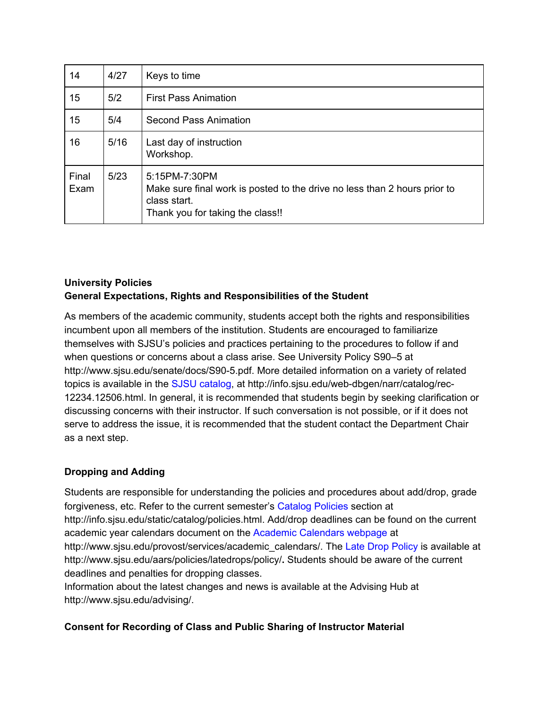| 14            | 4/27 | Keys to time                                                                                                                                   |
|---------------|------|------------------------------------------------------------------------------------------------------------------------------------------------|
| 15            | 5/2  | <b>First Pass Animation</b>                                                                                                                    |
| 15            | 5/4  | Second Pass Animation                                                                                                                          |
| 16            | 5/16 | Last day of instruction<br>Workshop.                                                                                                           |
| Final<br>Exam | 5/23 | 5:15PM-7:30PM<br>Make sure final work is posted to the drive no less than 2 hours prior to<br>class start.<br>Thank you for taking the class!! |

# **University Policies General Expectations, Rights and Responsibilities of the Student**

As members of the academic community, students accept both the rights and responsibilities incumbent upon all members of the institution. Students are encouraged to familiarize themselves with SJSU's policies and practices pertaining to the procedures to follow if and when questions or concerns about a class arise. See University Policy S90–5 at http://www.sjsu.edu/senate/docs/S90-5.pdf. More detailed information on a variety of related topics is available in the SJSU catalog, at http://info.sjsu.edu/web-dbgen/narr/catalog/rec-12234.12506.html. In general, it is recommended that students begin by seeking clarification or discussing concerns with their instructor. If such conversation is not possible, or if it does not serve to address the issue, it is recommended that the student contact the Department Chair as a next step.

# **Dropping and Adding**

Students are responsible for understanding the policies and procedures about add/drop, grade forgiveness, etc. Refer to the current semester's Catalog Policies section at http://info.sjsu.edu/static/catalog/policies.html. Add/drop deadlines can be found on the current academic year calendars document on the Academic Calendars webpage at http://www.sjsu.edu/provost/services/academic\_calendars/. The Late Drop Policy is available at http://www.sjsu.edu/aars/policies/latedrops/policy/**.** Students should be aware of the current deadlines and penalties for dropping classes.

Information about the latest changes and news is available at the Advising Hub at http://www.sjsu.edu/advising/.

#### **Consent for Recording of Class and Public Sharing of Instructor Material**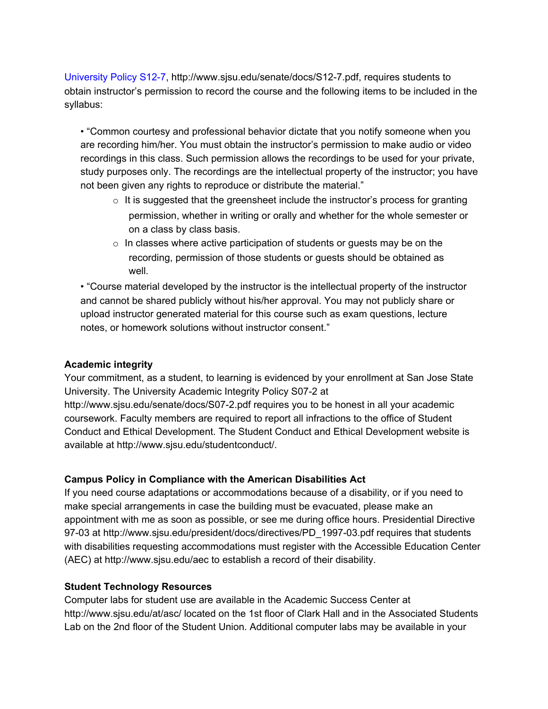University Policy S12-7, http://www.sjsu.edu/senate/docs/S12-7.pdf, requires students to obtain instructor's permission to record the course and the following items to be included in the syllabus:

• "Common courtesy and professional behavior dictate that you notify someone when you are recording him/her. You must obtain the instructor's permission to make audio or video recordings in this class. Such permission allows the recordings to be used for your private, study purposes only. The recordings are the intellectual property of the instructor; you have not been given any rights to reproduce or distribute the material."

- $\circ$  It is suggested that the greensheet include the instructor's process for granting permission, whether in writing or orally and whether for the whole semester or on a class by class basis.
- $\circ$  In classes where active participation of students or quests may be on the recording, permission of those students or guests should be obtained as well.

• "Course material developed by the instructor is the intellectual property of the instructor and cannot be shared publicly without his/her approval. You may not publicly share or upload instructor generated material for this course such as exam questions, lecture notes, or homework solutions without instructor consent."

#### **Academic integrity**

Your commitment, as a student, to learning is evidenced by your enrollment at San Jose State University. The University Academic Integrity Policy S07-2 at http://www.sjsu.edu/senate/docs/S07-2.pdf requires you to be honest in all your academic coursework. Faculty members are required to report all infractions to the office of Student Conduct and Ethical Development. The Student Conduct and Ethical Development website is available at http://www.sjsu.edu/studentconduct/.

#### **Campus Policy in Compliance with the American Disabilities Act**

If you need course adaptations or accommodations because of a disability, or if you need to make special arrangements in case the building must be evacuated, please make an appointment with me as soon as possible, or see me during office hours. Presidential Directive 97-03 at http://www.sjsu.edu/president/docs/directives/PD\_1997-03.pdf requires that students with disabilities requesting accommodations must register with the Accessible Education Center (AEC) at http://www.sjsu.edu/aec to establish a record of their disability.

#### **Student Technology Resources**

Computer labs for student use are available in the Academic Success Center at http://www.sjsu.edu/at/asc/ located on the 1st floor of Clark Hall and in the Associated Students Lab on the 2nd floor of the Student Union. Additional computer labs may be available in your